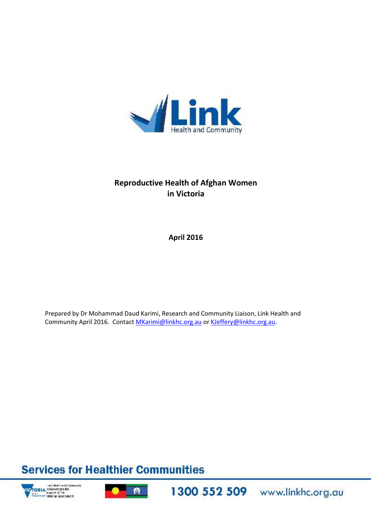

## **Reproductive Health of Afghan Women in Victoria**

**April 2016**

Prepared by Dr Mohammad Daud Karimi, Research and Community Liaison, Link Health and Community April 2016. Contact MKarimi@linkhc.org.au or KJeffery@linkhc.org.au.

# **Services for Healthier Communities**



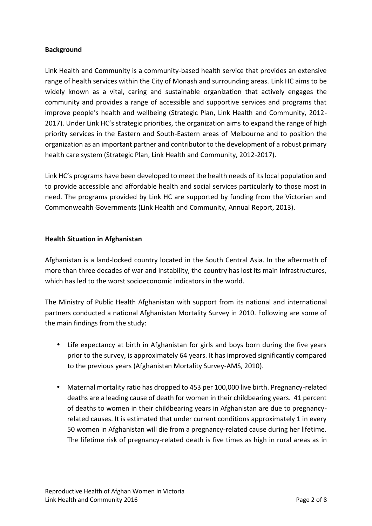## **Background**

Link Health and Community is a community-based health service that provides an extensive range of health services within the City of Monash and surrounding areas. Link HC aims to be widely known as a vital, caring and sustainable organization that actively engages the community and provides a range of accessible and supportive services and programs that improve people's health and wellbeing (Strategic Plan, Link Health and Community, 2012- 2017). Under Link HC's strategic priorities, the organization aims to expand the range of high priority services in the Eastern and South-Eastern areas of Melbourne and to position the organization as an important partner and contributor to the development of a robust primary health care system (Strategic Plan, Link Health and Community, 2012-2017).

Link HC's programs have been developed to meet the health needs of its local population and to provide accessible and affordable health and social services particularly to those most in need. The programs provided by Link HC are supported by funding from the Victorian and Commonwealth Governments (Link Health and Community, Annual Report, 2013).

## **Health Situation in Afghanistan**

Afghanistan is a land-locked country located in the South Central Asia. In the aftermath of more than three decades of war and instability, the country has lost its main infrastructures, which has led to the worst socioeconomic indicators in the world.

The Ministry of Public Health Afghanistan with support from its national and international partners conducted a national Afghanistan Mortality Survey in 2010. Following are some of the main findings from the study:

- Life expectancy at birth in Afghanistan for girls and boys born during the five years prior to the survey, is approximately 64 years. It has improved significantly compared to the previous years (Afghanistan Mortality Survey-AMS, 2010).
- Maternal mortality ratio has dropped to 453 per 100,000 live birth. Pregnancy-related deaths are a leading cause of death for women in their childbearing years. 41 percent of deaths to women in their childbearing years in Afghanistan are due to pregnancy related causes. It is estimated that under current conditions approximately 1 in every 50 women in Afghanistan will die from a pregnancy-related cause during her lifetime. The lifetime risk of pregnancy-related death is five times as high in rural areas as in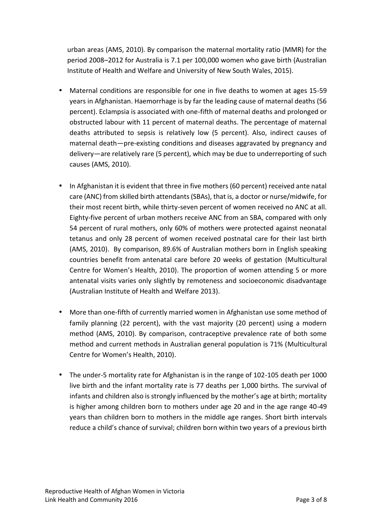urban areas (AMS, 2010). By comparison the maternal mortality ratio (MMR) for the period 2008–2012 for Australia is 7.1 per 100,000 women who gave birth (Australian Institute of Health and Welfare and University of New South Wales, 2015).

- Maternal conditions are responsible for one in five deaths to women at ages 15-59 years in Afghanistan. Haemorrhage is by far the leading cause of maternal deaths (56 percent). Eclampsia is associated with one-fifth of maternal deaths and prolonged or obstructed labour with 11 percent of maternal deaths. The percentage of maternal deaths attributed to sepsis is relatively low (5 percent). Also, indirect causes of maternal death—pre-existing conditions and diseases aggravated by pregnancy and delivery—are relatively rare (5 percent), which may be due to underreporting of such causes (AMS, 2010).
- In Afghanistan it is evident that three in five mothers (60 percent) received ante natal care (ANC) from skilled birth attendants (SBAs), that is, a doctor or nurse/midwife, for their most recent birth, while thirty-seven percent of women received no ANC at all. Eighty-five percent of urban mothers receive ANC from an SBA, compared with only 54 percent of rural mothers, only 60% of mothers were protected against neonatal tetanus and only 28 percent of women received postnatal care for their last birth (AMS, 2010). By comparison, 89.6% of Australian mothers born in English speaking countries benefit from antenatal care before 20 weeks of gestation (Multicultural Centre for Women's Health, 2010). The proportion of women attending 5 or more antenatal visits varies only slightly by remoteness and socioeconomic disadvantage (Australian Institute of Health and Welfare 2013).
- More than one-fifth of currently married women in Afghanistan use some method of family planning (22 percent), with the vast majority (20 percent) using a modern method (AMS, 2010). By comparison, contraceptive prevalence rate of both some method and current methods in Australian general population is 71% (Multicultural Centre for Women's Health, 2010).
- The under-5 mortality rate for Afghanistan is in the range of 102-105 death per 1000 live birth and the infant mortality rate is 77 deaths per 1,000 births. The survival of infants and children also is strongly influenced by the mother's age at birth; mortality is higher among children born to mothers under age 20 and in the age range 40-49 years than children born to mothers in the middle age ranges. Short birth intervals reduce a child's chance of survival; children born within two years of a previous birth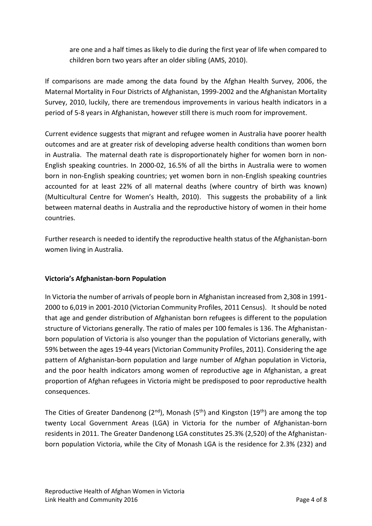are one and a half times as likely to die during the first year of life when compared to children born two years after an older sibling (AMS, 2010).

If comparisons are made among the data found by the Afghan Health Survey, 2006, the Maternal Mortality in Four Districts of Afghanistan, 1999-2002 and the Afghanistan Mortality Survey, 2010, luckily, there are tremendous improvements in various health indicators in a period of 5-8 years in Afghanistan, however still there is much room for improvement.

Current evidence suggests that migrant and refugee women in Australia have poorer health outcomes and are at greater risk of developing adverse health conditions than women born in Australia. The maternal death rate is disproportionately higher for women born in non- English speaking countries. In 2000-02, 16.5% of all the births in Australia were to women born in non-English speaking countries; yet women born in non-English speaking countries accounted for at least 22% of all maternal deaths (where country of birth was known) (Multicultural Centre for Women's Health, 2010). This suggests the probability of a link between maternal deaths in Australia and the reproductive history of women in their home countries.

Further research is needed to identify the reproductive health status of the Afghanistan-born women living in Australia.

## **Victoria's Afghanistan-born Population**

In Victoria the number of arrivals of people born in Afghanistan increased from 2,308 in 1991- 2000 to 6,019 in 2001-2010 (Victorian Community Profiles, 2011 Census). It should be noted that age and gender distribution of Afghanistan born refugees is different to the population structure of Victorians generally. The ratio of males per 100 females is 136. The Afghanistan born population of Victoria is also younger than the population of Victorians generally, with 59% between the ages 19-44 years (Victorian Community Profiles, 2011). Considering the age pattern of Afghanistan-born population and large number of Afghan population in Victoria, and the poor health indicators among women of reproductive age in Afghanistan, a great proportion of Afghan refugees in Victoria might be predisposed to poor reproductive health consequences.

The Cities of Greater Dandenong ( $2^{nd}$ ), Monash ( $5^{th}$ ) and Kingston ( $19^{th}$ ) are among the top twenty Local Government Areas (LGA) in Victoria for the number of Afghanistan-born residents in 2011. The Greater Dandenong LGA constitutes 25.3% (2,520) of the Afghanistan born population Victoria, while the City of Monash LGA is the residence for 2.3% (232) and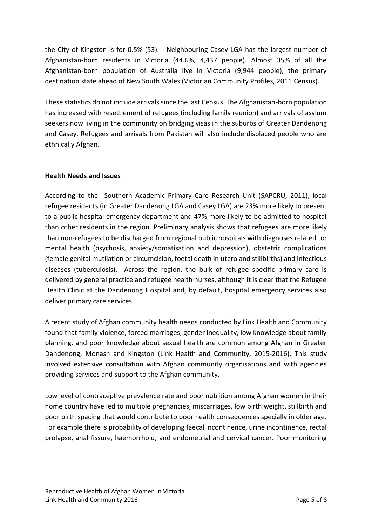the City of Kingston is for 0.5% (53). Neighbouring Casey LGA has the largest number of Afghanistan-born residents in Victoria (44.6%, 4,437 people). Almost 35% of all the Afghanistan-born population of Australia live in Victoria (9,944 people), the primary destination state ahead of New South Wales (Victorian Community Profiles, 2011 Census).

These statistics do not include arrivals since the last Census. The Afghanistan-born population has increased with resettlement of refugees (including family reunion) and arrivals of asylum seekers now living in the community on bridging visas in the suburbs of Greater Dandenong and Casey. Refugees and arrivals from Pakistan will also include displaced people who are ethnically Afghan.

## **Health Needs and Issues**

According to the Southern Academic Primary Care Research Unit (SAPCRU, 2011), local refugee residents (in Greater Dandenong LGA and Casey LGA) are 23% more likely to present to a public hospital emergency department and 47% more likely to be admitted to hospital than other residents in the region. Preliminary analysis shows that refugees are more likely than non-refugees to be discharged from regional public hospitals with diagnoses related to: mental health (psychosis, anxiety/somatisation and depression), obstetric complications (female genital mutilation or circumcision, foetal death in utero and stillbirths) and infectious diseases (tuberculosis). Across the region, the bulk of refugee specific primary care is delivered by general practice and refugee health nurses, although it is clear that the Refugee Health Clinic at the Dandenong Hospital and, by default, hospital emergency services also deliver primary care services.

A recent study of Afghan community health needs conducted by Link Health and Community found that family violence, forced marriages, gender inequality, low knowledge about family planning, and poor knowledge about sexual health are common among Afghan in Greater Dandenong, Monash and Kingston (Link Health and Community, 2015-2016). This study involved extensive consultation with Afghan community organisations and with agencies providing services and support to the Afghan community.

Low level of contraceptive prevalence rate and poor nutrition among Afghan women in their home country have led to multiple pregnancies, miscarriages, low birth weight, stillbirth and poor birth spacing that would contribute to poor health consequences specially in older age. For example there is probability of developing faecal incontinence, urine incontinence, rectal prolapse, anal fissure, haemorrhoid, and endometrial and cervical cancer. Poor monitoring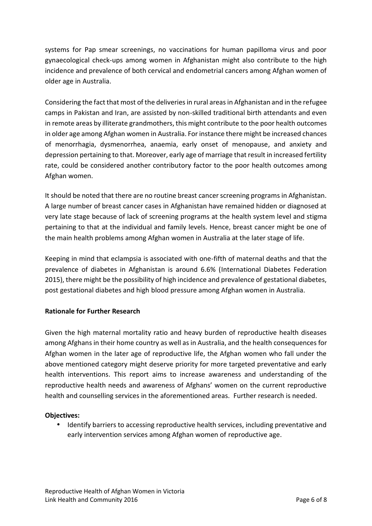systems for Pap smear screenings, no vaccinations for human papilloma virus and poor gynaecological check-ups among women in Afghanistan might also contribute to the high incidence and prevalence of both cervical and endometrial cancers among Afghan women of older age in Australia.

Considering the fact that most of the deliveries in rural areas in Afghanistan and in the refugee camps in Pakistan and Iran, are assisted by non-skilled traditional birth attendants and even in remote areas by illiterate grandmothers, this might contribute to the poor health outcomes in older age among Afghan women in Australia. For instance there might be increased chances of menorrhagia, dysmenorrhea, anaemia, early onset of menopause, and anxiety and depression pertaining to that. Moreover, early age of marriage that result in increased fertility rate, could be considered another contributory factor to the poor health outcomes among Afghan women.

It should be noted that there are no routine breast cancer screening programs in Afghanistan. A large number of breast cancer cases in Afghanistan have remained hidden or diagnosed at very late stage because of lack of screening programs at the health system level and stigma pertaining to that at the individual and family levels. Hence, breast cancer might be one of the main health problems among Afghan women in Australia at the later stage of life.

Keeping in mind that eclampsia is associated with one-fifth of maternal deaths and that the prevalence of diabetes in Afghanistan is around 6.6% (International Diabetes Federation 2015), there might be the possibility of high incidence and prevalence of gestational diabetes, post gestational diabetes and high blood pressure among Afghan women in Australia.

## **Rationale for Further Research**

Given the high maternal mortality ratio and heavy burden of reproductive health diseases among Afghans in their home country as well as in Australia, and the health consequences for Afghan women in the later age of reproductive life, the Afghan women who fall under the above mentioned category might deserve priority for more targeted preventative and early health interventions. This report aims to increase awareness and understanding of the reproductive health needs and awareness of Afghans' women on the current reproductive health and counselling services in the aforementioned areas. Further research is needed.

## **Objectives:**

 Identify barriers to accessing reproductive health services, including preventative and early intervention services among Afghan women of reproductive age.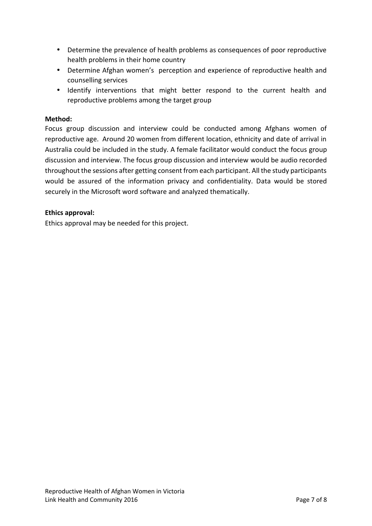- Determine the prevalence of health problems as consequences of poor reproductive health problems in their home country
- Determine Afghan women's perception and experience of reproductive health and counselling services
- Identify interventions that might better respond to the current health and reproductive problems among the target group

#### **Method:**

Focus group discussion and interview could be conducted among Afghans women of reproductive age. Around 20 women from different location, ethnicity and date of arrival in Australia could be included in the study. A female facilitator would conduct the focus group discussion and interview. The focus group discussion and interview would be audio recorded throughout the sessions after getting consent from each participant. All the study participants would be assured of the information privacy and confidentiality. Data would be stored securely in the Microsoft word software and analyzed thematically.

#### **Ethics approval:**

Ethics approval may be needed for this project.